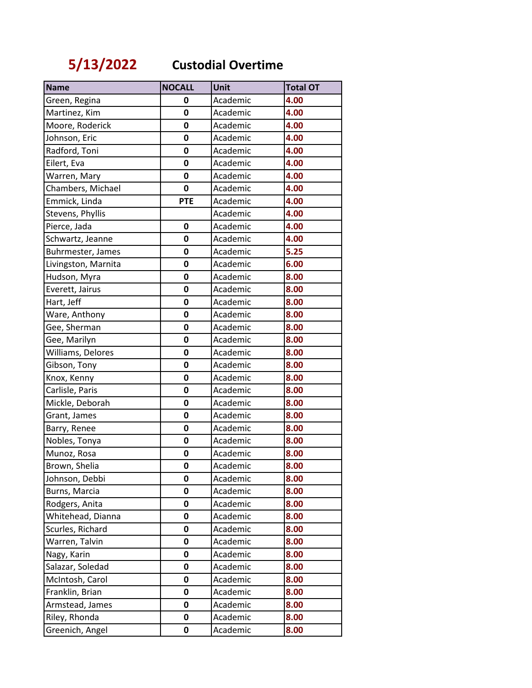**5/13/2022 Custodial Overtime**

| <b>Name</b>         | <b>NOCALL</b> | Unit     | <b>Total OT</b> |
|---------------------|---------------|----------|-----------------|
| Green, Regina       | 0             | Academic | 4.00            |
| Martinez, Kim       | $\mathbf 0$   | Academic | 4.00            |
| Moore, Roderick     | $\mathbf 0$   | Academic | 4.00            |
| Johnson, Eric       | $\mathbf 0$   | Academic | 4.00            |
| Radford, Toni       | 0             | Academic | 4.00            |
| Eilert, Eva         | $\mathbf 0$   | Academic | 4.00            |
| Warren, Mary        | 0             | Academic | 4.00            |
| Chambers, Michael   | 0             | Academic | 4.00            |
| Emmick, Linda       | <b>PTE</b>    | Academic | 4.00            |
| Stevens, Phyllis    |               | Academic | 4.00            |
| Pierce, Jada        | 0             | Academic | 4.00            |
| Schwartz, Jeanne    | 0             | Academic | 4.00            |
| Buhrmester, James   | $\mathbf 0$   | Academic | 5.25            |
| Livingston, Marnita | 0             | Academic | 6.00            |
| Hudson, Myra        | $\mathbf 0$   | Academic | 8.00            |
| Everett, Jairus     | 0             | Academic | 8.00            |
| Hart, Jeff          | 0             | Academic | 8.00            |
| Ware, Anthony       | $\mathbf 0$   | Academic | 8.00            |
| Gee, Sherman        | 0             | Academic | 8.00            |
| Gee, Marilyn        | $\mathbf 0$   | Academic | 8.00            |
| Williams, Delores   | 0             | Academic | 8.00            |
| Gibson, Tony        | $\mathbf 0$   | Academic | 8.00            |
| Knox, Kenny         | $\mathbf 0$   | Academic | 8.00            |
| Carlisle, Paris     | 0             | Academic | 8.00            |
| Mickle, Deborah     | $\mathbf 0$   | Academic | 8.00            |
| Grant, James        | 0             | Academic | 8.00            |
| Barry, Renee        | $\mathbf 0$   | Academic | 8.00            |
| Nobles, Tonya       | 0             | Academic | 8.00            |
| Munoz, Rosa         | 0             | Academic | 8.00            |
| Brown, Shelia       | 0             | Academic | 8.00            |
| Johnson, Debbi      | 0             | Academic | 8.00            |
| Burns, Marcia       | 0             | Academic | 8.00            |
| Rodgers, Anita      | 0             | Academic | 8.00            |
| Whitehead, Dianna   | 0             | Academic | 8.00            |
| Scurles, Richard    | 0             | Academic | 8.00            |
| Warren, Talvin      | 0             | Academic | 8.00            |
| Nagy, Karin         | 0             | Academic | 8.00            |
| Salazar, Soledad    | 0             | Academic | 8.00            |
| McIntosh, Carol     | $\mathbf 0$   | Academic | 8.00            |
| Franklin, Brian     | 0             | Academic | 8.00            |
| Armstead, James     | 0             | Academic | 8.00            |
| Riley, Rhonda       | 0             | Academic | 8.00            |
| Greenich, Angel     | 0             | Academic | 8.00            |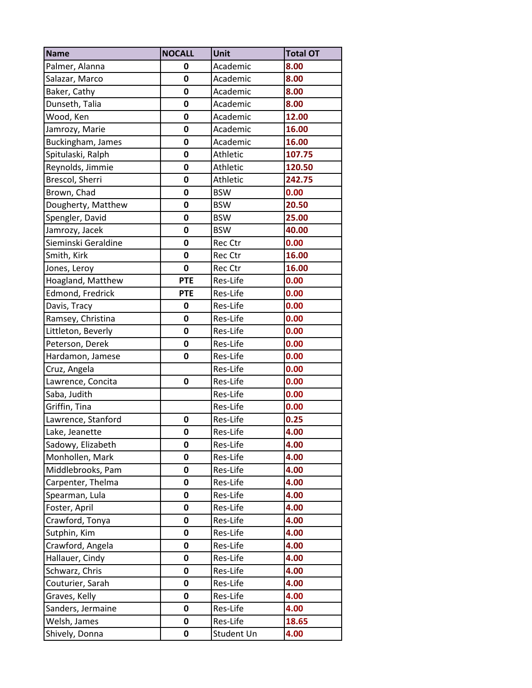| <b>Name</b>         | <b>NOCALL</b> | Unit            | <b>Total OT</b> |
|---------------------|---------------|-----------------|-----------------|
| Palmer, Alanna      | 0             | Academic        | 8.00            |
| Salazar, Marco      | 0             | Academic        | 8.00            |
| Baker, Cathy        | $\mathbf 0$   | Academic        | 8.00            |
| Dunseth, Talia      | 0             | Academic        | 8.00            |
| Wood, Ken           | $\mathbf 0$   | Academic        | 12.00           |
| Jamrozy, Marie      | $\mathbf 0$   | Academic        | 16.00           |
| Buckingham, James   | 0             | Academic        | 16.00           |
| Spitulaski, Ralph   | 0             | Athletic        | 107.75          |
| Reynolds, Jimmie    | 0             | <b>Athletic</b> | 120.50          |
| Brescol, Sherri     | 0             | Athletic        | 242.75          |
| Brown, Chad         | $\mathbf 0$   | <b>BSW</b>      | 0.00            |
| Dougherty, Matthew  | 0             | <b>BSW</b>      | 20.50           |
| Spengler, David     | $\mathbf 0$   | <b>BSW</b>      | 25.00           |
| Jamrozy, Jacek      | 0             | <b>BSW</b>      | 40.00           |
| Sieminski Geraldine | $\mathbf 0$   | Rec Ctr         | 0.00            |
| Smith, Kirk         | $\mathbf 0$   | Rec Ctr         | 16.00           |
| Jones, Leroy        | $\mathbf 0$   | Rec Ctr         | 16.00           |
| Hoagland, Matthew   | <b>PTE</b>    | Res-Life        | 0.00            |
| Edmond, Fredrick    | <b>PTE</b>    | Res-Life        | 0.00            |
| Davis, Tracy        | $\mathbf 0$   | Res-Life        | 0.00            |
| Ramsey, Christina   | 0             | Res-Life        | 0.00            |
| Littleton, Beverly  | $\mathbf 0$   | Res-Life        | 0.00            |
| Peterson, Derek     | 0             | Res-Life        | 0.00            |
| Hardamon, Jamese    | $\mathbf 0$   | Res-Life        | 0.00            |
| Cruz, Angela        |               | Res-Life        | 0.00            |
| Lawrence, Concita   | 0             | Res-Life        | 0.00            |
| Saba, Judith        |               | Res-Life        | 0.00            |
| Griffin, Tina       |               | Res-Life        | 0.00            |
| Lawrence, Stanford  | $\mathbf 0$   | Res-Life        | 0.25            |
| Lake, Jeanette      | $\mathbf 0$   | Res-Life        | 4.00            |
| Sadowy, Elizabeth   | 0             | Res-Life        | 4.00            |
| Monhollen, Mark     | 0             | Res-Life        | 4.00            |
| Middlebrooks, Pam   | 0             | Res-Life        | 4.00            |
| Carpenter, Thelma   | 0             | Res-Life        | 4.00            |
| Spearman, Lula      | 0             | Res-Life        | 4.00            |
| Foster, April       | 0             | Res-Life        | 4.00            |
| Crawford, Tonya     | $\mathbf 0$   | Res-Life        | 4.00            |
| Sutphin, Kim        | 0             | Res-Life        | 4.00            |
| Crawford, Angela    | 0             | Res-Life        | 4.00            |
| Hallauer, Cindy     | 0             | Res-Life        | 4.00            |
| Schwarz, Chris      | $\mathbf 0$   | Res-Life        | 4.00            |
| Couturier, Sarah    | $\mathbf 0$   | Res-Life        | 4.00            |
| Graves, Kelly       | 0             | Res-Life        | 4.00            |
| Sanders, Jermaine   | $\mathbf 0$   | Res-Life        | 4.00            |
| Welsh, James        | 0             | Res-Life        | 18.65           |
| Shively, Donna      | 0             | Student Un      | 4.00            |